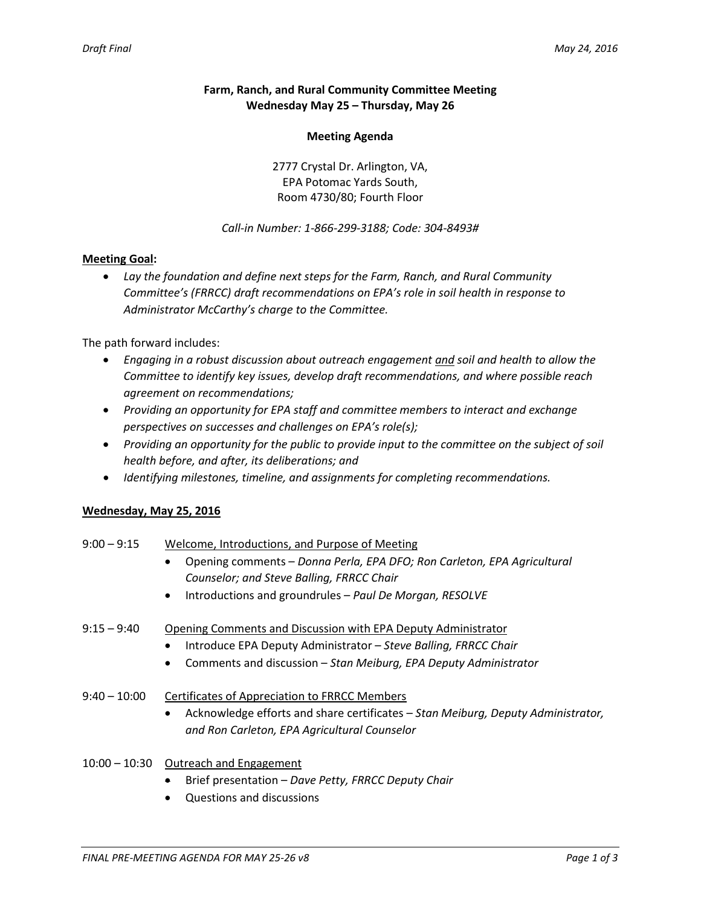### **Farm, Ranch, and Rural Community Committee Meeting Wednesday May 25 – Thursday, May 26**

#### **Meeting Agenda**

2777 Crystal Dr. Arlington, VA, EPA Potomac Yards South, Room 4730/80; Fourth Floor

#### *Call-in Number: 1-866-299-3188; Code: 304-8493#*

#### **Meeting Goal:**

• *Lay the foundation and define next steps for the Farm, Ranch, and Rural Community Committee's (FRRCC) draft recommendations on EPA's role in soil health in response to Administrator McCarthy's charge to the Committee.*

The path forward includes:

- *Engaging in a robust discussion about outreach engagement and soil and health to allow the Committee to identify key issues, develop draft recommendations, and where possible reach agreement on recommendations;*
- *Providing an opportunity for EPA staff and committee members to interact and exchange perspectives on successes and challenges on EPA's role(s);*
- *Providing an opportunity for the public to provide input to the committee on the subject of soil health before, and after, its deliberations; and*
- *Identifying milestones, timeline, and assignments for completing recommendations.*

### **Wednesday, May 25, 2016**

| $9:00 - 9:15$  | Welcome, Introductions, and Purpose of Meeting                                                |
|----------------|-----------------------------------------------------------------------------------------------|
|                | Opening comments - Donna Perla, EPA DFO; Ron Carleton, EPA Agricultural                       |
|                | Counselor; and Steve Balling, FRRCC Chair                                                     |
|                | Introductions and groundrules - Paul De Morgan, RESOLVE<br>$\bullet$                          |
| $9:15 - 9:40$  | Opening Comments and Discussion with EPA Deputy Administrator                                 |
|                | Introduce EPA Deputy Administrator - Steve Balling, FRRCC Chair                               |
|                | Comments and discussion – Stan Meiburg, EPA Deputy Administrator<br>$\bullet$                 |
| $9:40 - 10:00$ | <b>Certificates of Appreciation to FRRCC Members</b>                                          |
|                | Acknowledge efforts and share certificates – Stan Meiburg, Deputy Administrator,<br>$\bullet$ |
|                | and Ron Carleton, EPA Agricultural Counselor                                                  |
| 10:00 – 10:30  | Outreach and Engagement                                                                       |

- Brief presentation *Dave Petty, FRRCC Deputy Chair*
- Questions and discussions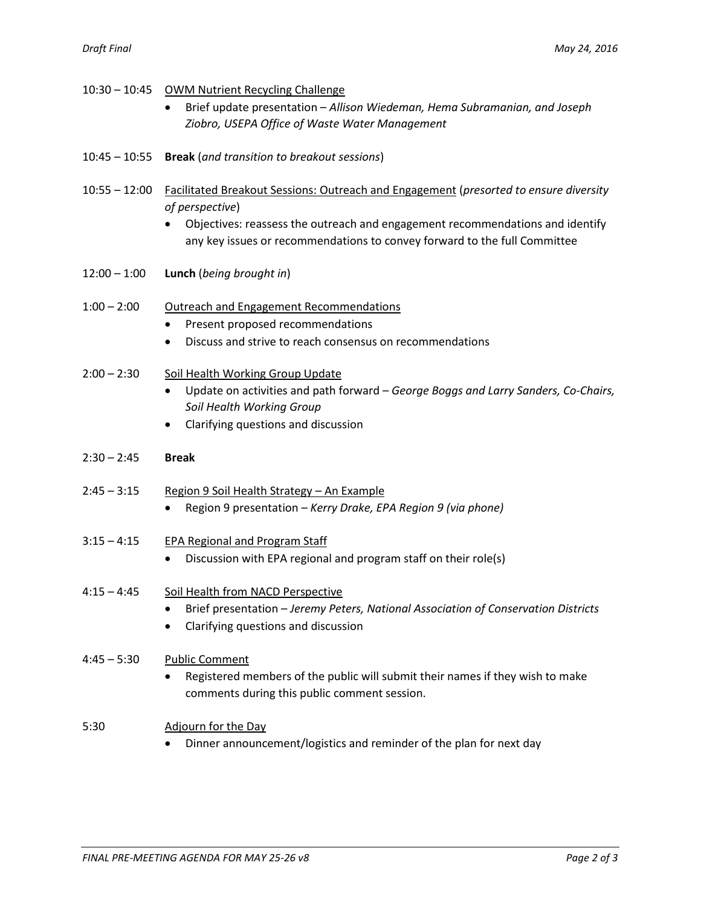|                 | 10:30 - 10:45 OWM Nutrient Recycling Challenge                                                  |
|-----------------|-------------------------------------------------------------------------------------------------|
|                 | Brief update presentation - Allison Wiedeman, Hema Subramanian, and Joseph                      |
|                 | Ziobro, USEPA Office of Waste Water Management                                                  |
|                 |                                                                                                 |
| $10:45 - 10:55$ | <b>Break</b> (and transition to breakout sessions)                                              |
|                 |                                                                                                 |
| $10:55 - 12:00$ | <b>Facilitated Breakout Sessions: Outreach and Engagement (presorted to ensure diversity</b>    |
|                 | of perspective)                                                                                 |
|                 | Objectives: reassess the outreach and engagement recommendations and identify                   |
|                 | any key issues or recommendations to convey forward to the full Committee                       |
|                 |                                                                                                 |
| $12:00 - 1:00$  | Lunch (being brought in)                                                                        |
|                 |                                                                                                 |
| $1:00 - 2:00$   | <b>Outreach and Engagement Recommendations</b>                                                  |
|                 | Present proposed recommendations<br>٠                                                           |
|                 | Discuss and strive to reach consensus on recommendations<br>٠                                   |
|                 |                                                                                                 |
| $2:00 - 2:30$   | Soil Health Working Group Update                                                                |
|                 | Update on activities and path forward - George Boggs and Larry Sanders, Co-Chairs,<br>$\bullet$ |
|                 | Soil Health Working Group                                                                       |
|                 | Clarifying questions and discussion<br>٠                                                        |
| $2:30 - 2:45$   | <b>Break</b>                                                                                    |
|                 |                                                                                                 |
| $2:45 - 3:15$   | Region 9 Soil Health Strategy - An Example                                                      |
|                 | Region 9 presentation - Kerry Drake, EPA Region 9 (via phone)                                   |
|                 |                                                                                                 |
| $3:15 - 4:15$   | EPA Regional and Program Staff                                                                  |
|                 | Discussion with EPA regional and program staff on their role(s)                                 |
|                 |                                                                                                 |
| $4:15 - 4:45$   | Soil Health from NACD Perspective                                                               |
|                 | Brief presentation - Jeremy Peters, National Association of Conservation Districts<br>٠         |
|                 | Clarifying questions and discussion<br>$\bullet$                                                |
|                 |                                                                                                 |
| $4:45 - 5:30$   | <b>Public Comment</b>                                                                           |
|                 | Registered members of the public will submit their names if they wish to make                   |
|                 | comments during this public comment session.                                                    |
|                 |                                                                                                 |
| 5:30            | Adjourn for the Day                                                                             |
|                 | Dinner announcement/logistics and reminder of the plan for next day                             |
|                 |                                                                                                 |